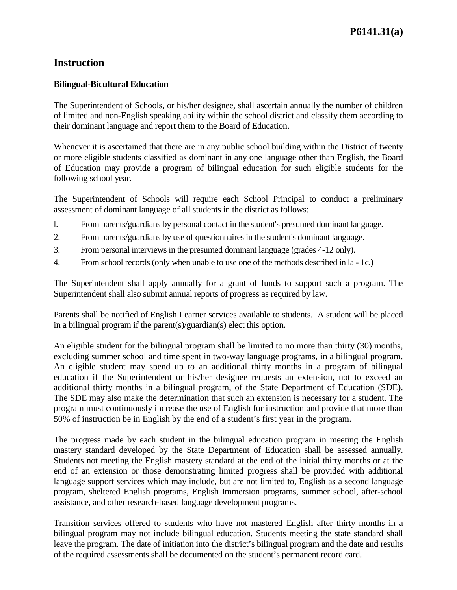## **Instruction**

## **Bilingual-Bicultural Education**

The Superintendent of Schools, or his/her designee, shall ascertain annually the number of children of limited and non-English speaking ability within the school district and classify them according to their dominant language and report them to the Board of Education.

Whenever it is ascertained that there are in any public school building within the District of twenty or more eligible students classified as dominant in any one language other than English, the Board of Education may provide a program of bilingual education for such eligible students for the following school year.

The Superintendent of Schools will require each School Principal to conduct a preliminary assessment of dominant language of all students in the district as follows:

- l. From parents/guardians by personal contact in the student's presumed dominant language.
- 2. From parents/guardians by use of questionnaires in the student's dominant language.
- 3. From personal interviews in the presumed dominant language (grades 4-12 only).
- 4. From school records (only when unable to use one of the methods described in la 1c.)

The Superintendent shall apply annually for a grant of funds to support such a program. The Superintendent shall also submit annual reports of progress as required by law.

Parents shall be notified of English Learner services available to students. A student will be placed in a bilingual program if the parent(s)/guardian(s) elect this option.

An eligible student for the bilingual program shall be limited to no more than thirty (30) months, excluding summer school and time spent in two-way language programs, in a bilingual program. An eligible student may spend up to an additional thirty months in a program of bilingual education if the Superintendent or his/her designee requests an extension, not to exceed an additional thirty months in a bilingual program, of the State Department of Education (SDE). The SDE may also make the determination that such an extension is necessary for a student. The program must continuously increase the use of English for instruction and provide that more than 50% of instruction be in English by the end of a student's first year in the program.

The progress made by each student in the bilingual education program in meeting the English mastery standard developed by the State Department of Education shall be assessed annually. Students not meeting the English mastery standard at the end of the initial thirty months or at the end of an extension or those demonstrating limited progress shall be provided with additional language support services which may include, but are not limited to, English as a second language program, sheltered English programs, English Immersion programs, summer school, after-school assistance, and other research-based language development programs.

Transition services offered to students who have not mastered English after thirty months in a bilingual program may not include bilingual education. Students meeting the state standard shall leave the program. The date of initiation into the district's bilingual program and the date and results of the required assessments shall be documented on the student's permanent record card.